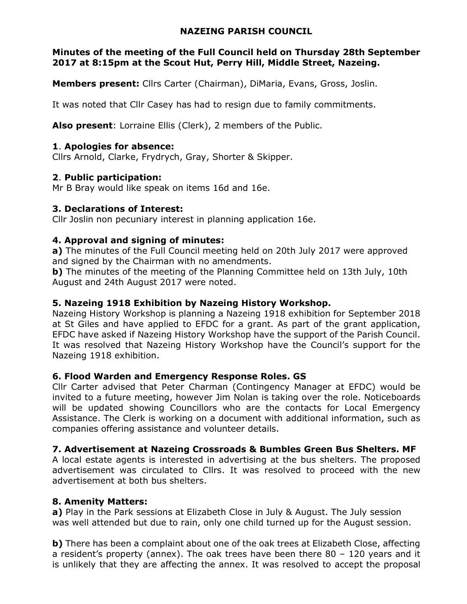#### NAZEING PARISH COUNCIL

#### Minutes of the meeting of the Full Council held on Thursday 28th September 2017 at 8:15pm at the Scout Hut, Perry Hill, Middle Street, Nazeing.

Members present: Cllrs Carter (Chairman), DiMaria, Evans, Gross, Joslin.

It was noted that Cllr Casey has had to resign due to family commitments.

Also present: Lorraine Ellis (Clerk), 2 members of the Public.

# 1. Apologies for absence:

Cllrs Arnold, Clarke, Frydrych, Gray, Shorter & Skipper.

#### 2. Public participation:

Mr B Bray would like speak on items 16d and 16e.

#### 3. Declarations of Interest:

Cllr Joslin non pecuniary interest in planning application 16e.

# 4. Approval and signing of minutes:

a) The minutes of the Full Council meeting held on 20th July 2017 were approved and signed by the Chairman with no amendments.

b) The minutes of the meeting of the Planning Committee held on 13th July, 10th August and 24th August 2017 were noted.

#### 5. Nazeing 1918 Exhibition by Nazeing History Workshop.

Nazeing History Workshop is planning a Nazeing 1918 exhibition for September 2018 at St Giles and have applied to EFDC for a grant. As part of the grant application, EFDC have asked if Nazeing History Workshop have the support of the Parish Council. It was resolved that Nazeing History Workshop have the Council's support for the Nazeing 1918 exhibition.

# 6. Flood Warden and Emergency Response Roles. GS

Cllr Carter advised that Peter Charman (Contingency Manager at EFDC) would be invited to a future meeting, however Jim Nolan is taking over the role. Noticeboards will be updated showing Councillors who are the contacts for Local Emergency Assistance. The Clerk is working on a document with additional information, such as companies offering assistance and volunteer details.

# 7. Advertisement at Nazeing Crossroads & Bumbles Green Bus Shelters. MF

A local estate agents is interested in advertising at the bus shelters. The proposed advertisement was circulated to Cllrs. It was resolved to proceed with the new advertisement at both bus shelters.

# 8. Amenity Matters:

a) Play in the Park sessions at Elizabeth Close in July & August. The July session was well attended but due to rain, only one child turned up for the August session.

b) There has been a complaint about one of the oak trees at Elizabeth Close, affecting a resident's property (annex). The oak trees have been there 80 – 120 years and it is unlikely that they are affecting the annex. It was resolved to accept the proposal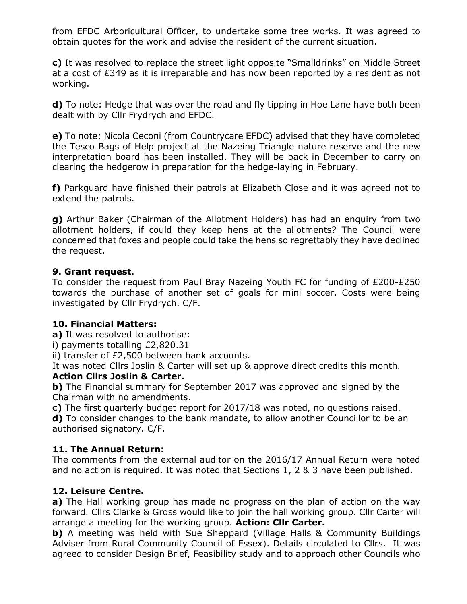from EFDC Arboricultural Officer, to undertake some tree works. It was agreed to obtain quotes for the work and advise the resident of the current situation.

c) It was resolved to replace the street light opposite "Smalldrinks" on Middle Street at a cost of £349 as it is irreparable and has now been reported by a resident as not working.

d) To note: Hedge that was over the road and fly tipping in Hoe Lane have both been dealt with by Cllr Frydrych and EFDC.

e) To note: Nicola Ceconi (from Countrycare EFDC) advised that they have completed the Tesco Bags of Help project at the Nazeing Triangle nature reserve and the new interpretation board has been installed. They will be back in December to carry on clearing the hedgerow in preparation for the hedge-laying in February.

f) Parkguard have finished their patrols at Elizabeth Close and it was agreed not to extend the patrols.

g) Arthur Baker (Chairman of the Allotment Holders) has had an enquiry from two allotment holders, if could they keep hens at the allotments? The Council were concerned that foxes and people could take the hens so regrettably they have declined the request.

#### 9. Grant request.

To consider the request from Paul Bray Nazeing Youth FC for funding of £200-£250 towards the purchase of another set of goals for mini soccer. Costs were being investigated by Cllr Frydrych. C/F.

# 10. Financial Matters:

a) It was resolved to authorise:

i) payments totalling £2,820.31

ii) transfer of £2,500 between bank accounts.

It was noted Cllrs Joslin & Carter will set up & approve direct credits this month.

# Action Cllrs Joslin & Carter.

b) The Financial summary for September 2017 was approved and signed by the Chairman with no amendments.

c) The first quarterly budget report for 2017/18 was noted, no questions raised.

d) To consider changes to the bank mandate, to allow another Councillor to be an authorised signatory. C/F.

# 11. The Annual Return:

The comments from the external auditor on the 2016/17 Annual Return were noted and no action is required. It was noted that Sections 1, 2 & 3 have been published.

# 12. Leisure Centre.

a) The Hall working group has made no progress on the plan of action on the way forward. Cllrs Clarke & Gross would like to join the hall working group. Cllr Carter will arrange a meeting for the working group. Action: Clir Carter.

b) A meeting was held with Sue Sheppard (Village Halls & Community Buildings Adviser from Rural Community Council of Essex). Details circulated to Cllrs. It was agreed to consider Design Brief, Feasibility study and to approach other Councils who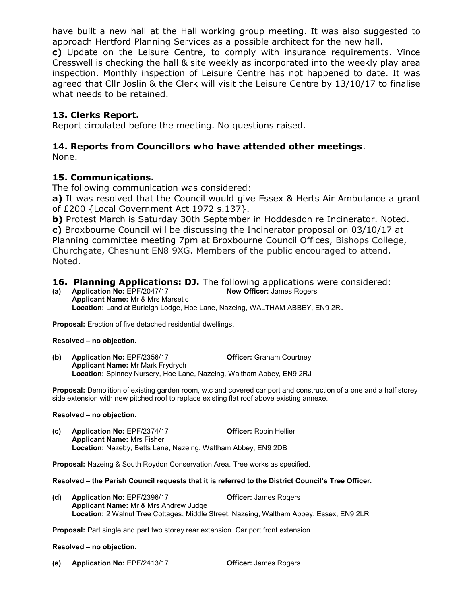have built a new hall at the Hall working group meeting. It was also suggested to approach Hertford Planning Services as a possible architect for the new hall.

c) Update on the Leisure Centre, to comply with insurance requirements. Vince Cresswell is checking the hall & site weekly as incorporated into the weekly play area inspection. Monthly inspection of Leisure Centre has not happened to date. It was agreed that Cllr Joslin & the Clerk will visit the Leisure Centre by 13/10/17 to finalise what needs to be retained.

#### 13. Clerks Report.

Report circulated before the meeting. No questions raised.

# 14. Reports from Councillors who have attended other meetings.

None.

#### 15. Communications.

The following communication was considered:

a) It was resolved that the Council would give Essex & Herts Air Ambulance a grant of £200 {Local Government Act 1972 s.137}.

**b)** Protest March is Saturday 30th September in Hoddesdon re Incinerator. Noted.

c) Broxbourne Council will be discussing the Incinerator proposal on 03/10/17 at Planning committee meeting 7pm at Broxbourne Council Offices, Bishops College, Churchgate, Cheshunt EN8 9XG. Members of the public encouraged to attend. Noted.

# **16. Planning Applications: DJ.** The following applications were considered:<br>(a) Application No: EPF/2047/17 **New Officer:** James Rogers

(a) Application No:  $EPF/2047/17$ Applicant Name: Mr & Mrs Marsetic Location: Land at Burleigh Lodge, Hoe Lane, Nazeing, WALTHAM ABBEY, EN9 2RJ

Proposal: Erection of five detached residential dwellings.

#### Resolved – no objection.

(b) Application No: EPF/2356/17 **Officer:** Graham Courtney Applicant Name: Mr Mark Frydrych Location: Spinney Nursery, Hoe Lane, Nazeing, Waltham Abbey, EN9 2RJ

Proposal: Demolition of existing garden room, w.c and covered car port and construction of a one and a half storey side extension with new pitched roof to replace existing flat roof above existing annexe.

#### Resolved – no objection.

(c) Application No: EPF/2374/17 Officer: Robin Hellier Applicant Name: Mrs Fisher Location: Nazeby, Betts Lane, Nazeing, Waltham Abbey, EN9 2DB

Proposal: Nazeing & South Roydon Conservation Area. Tree works as specified.

#### Resolved – the Parish Council requests that it is referred to the District Council's Tree Officer.

(d) Application No: EPF/2396/17 Officer: James Rogers Applicant Name: Mr & Mrs Andrew Judge Location: 2 Walnut Tree Cottages, Middle Street, Nazeing, Waltham Abbey, Essex, EN9 2LR

Proposal: Part single and part two storey rear extension. Car port front extension.

#### Resolved – no objection.

(e) Application No: EPF/2413/17 Officer: James Rogers